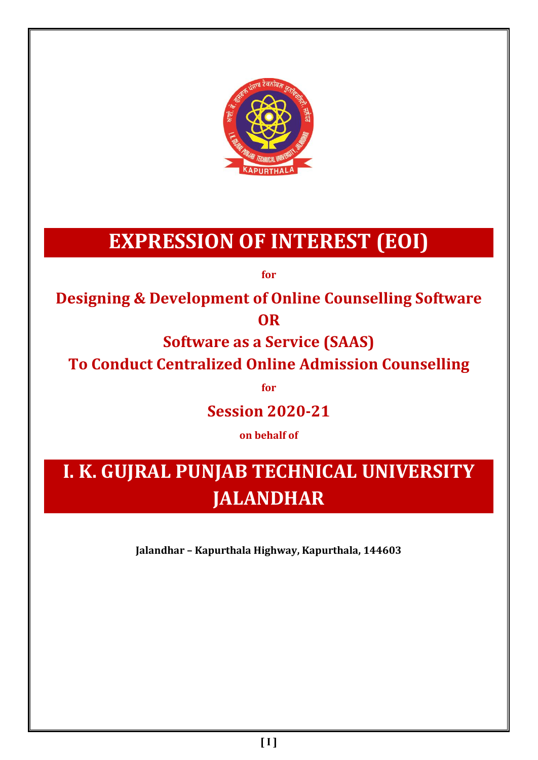

# **EXPRESSION OF INTEREST (EOI)**

**for**

**Designing & Development of Online Counselling Software OR**

**Software as a Service (SAAS)**

**To Conduct Centralized Online Admission Counselling**

**for**

**Session 2020-21**

**on behalf of** 

**I. K. GUJRAL PUNJAB TECHNICAL UNIVERSITY JALANDHAR**

**Jalandhar – Kapurthala Highway, Kapurthala, 144603**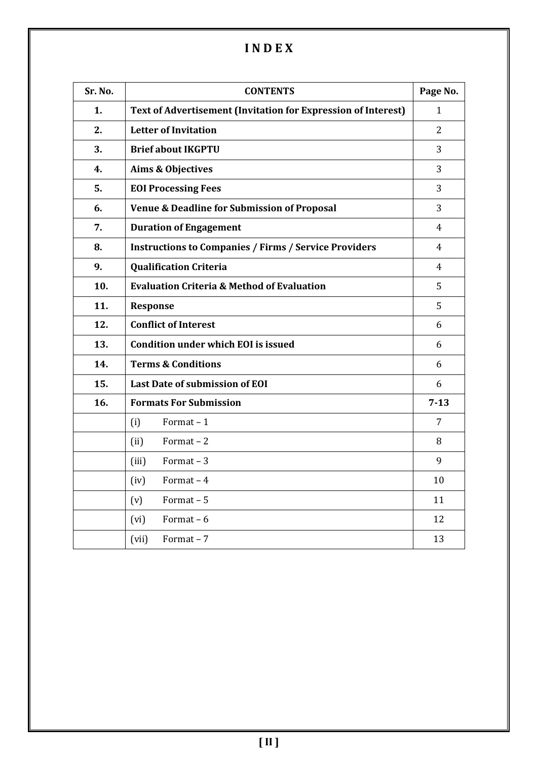# **I N D E X**

| Sr. No. | <b>CONTENTS</b>                                                      | Page No.       |
|---------|----------------------------------------------------------------------|----------------|
| 1.      | <b>Text of Advertisement (Invitation for Expression of Interest)</b> | 1              |
| 2.      | <b>Letter of Invitation</b>                                          | 2              |
| 3.      | <b>Brief about IKGPTU</b>                                            | 3              |
| 4.      | Aims & Objectives                                                    | 3              |
| 5.      | <b>EOI Processing Fees</b>                                           | 3              |
| 6.      | <b>Venue &amp; Deadline for Submission of Proposal</b>               | 3              |
| 7.      | <b>Duration of Engagement</b>                                        | $\overline{4}$ |
| 8.      | <b>Instructions to Companies / Firms / Service Providers</b>         | 4              |
| 9.      | <b>Qualification Criteria</b>                                        | 4              |
| 10.     | <b>Evaluation Criteria &amp; Method of Evaluation</b>                | 5              |
| 11.     | Response                                                             | 5              |
| 12.     | <b>Conflict of Interest</b>                                          | 6              |
| 13.     | <b>Condition under which EOI is issued</b>                           | 6              |
| 14.     | <b>Terms &amp; Conditions</b>                                        | 6              |
| 15.     | <b>Last Date of submission of EOI</b>                                | 6              |
| 16.     | <b>Formats For Submission</b>                                        | $7 - 13$       |
|         | (i)<br>Format $-1$                                                   | $\overline{7}$ |
|         | Format $-2$<br>(ii)                                                  | 8              |
|         | Format $-3$<br>(iii)                                                 | 9              |
|         | Format $-4$<br>(iv)                                                  | 10             |
|         | (v)<br>Format-5                                                      | 11             |
|         | Format $-6$<br>(vi)                                                  | 12             |
|         | (vii)<br>Format $-7$                                                 | 13             |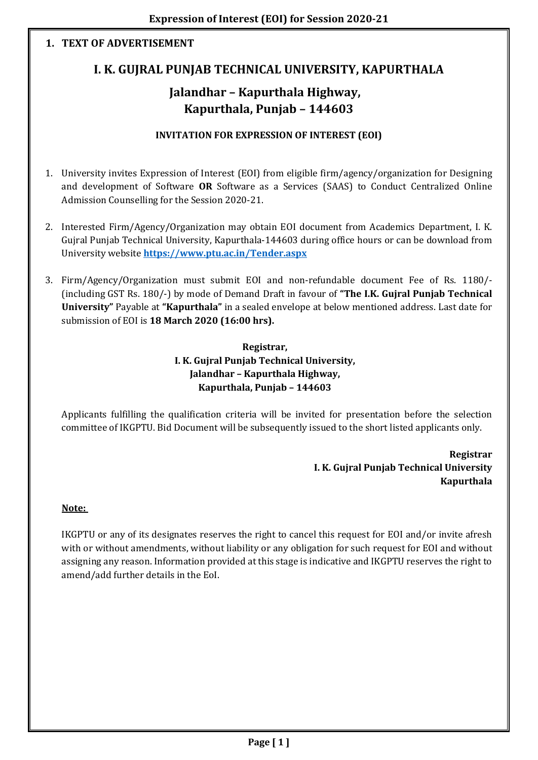# **1. TEXT OF ADVERTISEMENT**

# **I. K. GUJRAL PUNJAB TECHNICAL UNIVERSITY, KAPURTHALA**

# **Jalandhar – Kapurthala Highway, Kapurthala, Punjab – 144603**

## **INVITATION FOR EXPRESSION OF INTEREST (EOI)**

- 1. University invites Expression of Interest (EOI) from eligible firm/agency/organization for Designing and development of Software **OR** Software as a Services (SAAS) to Conduct Centralized Online Admission Counselling for the Session 2020-21.
- 2. Interested Firm/Agency/Organization may obtain EOI document from Academics Department, I. K. Gujral Punjab Technical University, Kapurthala-144603 during office hours or can be download from University website **<https://www.ptu.ac.in/Tender.aspx>**
- 3. Firm/Agency/Organization must submit EOI and non-refundable document Fee of Rs. 1180/- (including GST Rs. 180/-) by mode of Demand Draft in favour of **"The I.K. Gujral Punjab Technical University"** Payable at **"Kapurthala"** in a sealed envelope at below mentioned address. Last date for submission of EOI is **18 March 2020 (16:00 hrs).**

## **Registrar, I. K. Gujral Punjab Technical University, Jalandhar – Kapurthala Highway, Kapurthala, Punjab – 144603**

Applicants fulfilling the qualification criteria will be invited for presentation before the selection committee of IKGPTU. Bid Document will be subsequently issued to the short listed applicants only.

> **Registrar I. K. Gujral Punjab Technical University Kapurthala**

#### **Note:**

IKGPTU or any of its designates reserves the right to cancel this request for EOI and/or invite afresh with or without amendments, without liability or any obligation for such request for EOI and without assigning any reason. Information provided at this stage is indicative and IKGPTU reserves the right to amend/add further details in the EoI.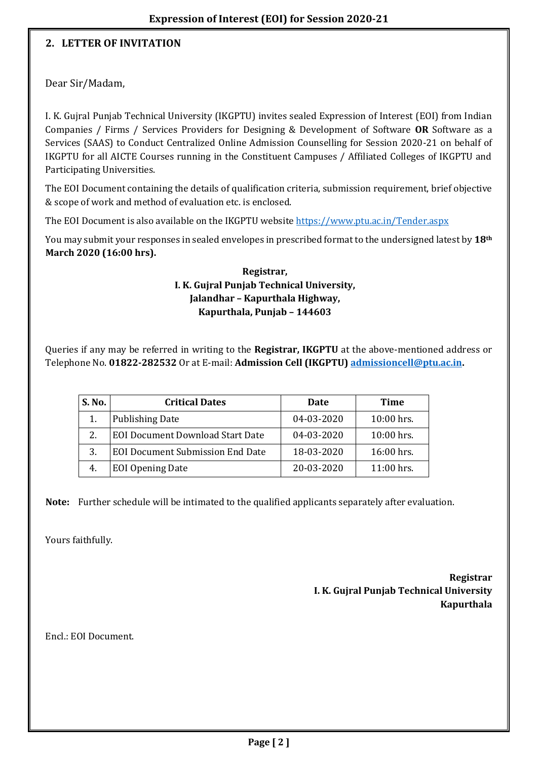## **2. LETTER OF INVITATION**

Dear Sir/Madam,

I. K. Gujral Punjab Technical University (IKGPTU) invites sealed Expression of Interest (EOI) from Indian Companies / Firms / Services Providers for Designing & Development of Software **OR** Software as a Services (SAAS) to Conduct Centralized Online Admission Counselling for Session 2020-21 on behalf of IKGPTU for all AICTE Courses running in the Constituent Campuses / Affiliated Colleges of IKGPTU and Participating Universities.

The EOI Document containing the details of qualification criteria, submission requirement, brief objective & scope of work and method of evaluation etc. is enclosed.

The EOI Document is also available on the IKGPTU website<https://www.ptu.ac.in/Tender.aspx>

You may submit your responses in sealed envelopes in prescribed format to the undersigned latest by **18th March 2020 (16:00 hrs).**

### **Registrar, I. K. Gujral Punjab Technical University, Jalandhar – Kapurthala Highway, Kapurthala, Punjab – 144603**

Queries if any may be referred in writing to the **Registrar, IKGPTU** at the above-mentioned address or Telephone No. **01822-282532** Or at E-mail: **Admission Cell (IKGPTU) [admissioncell@ptu.ac.in.](mailto:admissioncell@ptu.ac.in)**

| S. No. | <b>Critical Dates</b>                   | Date       | Time       |
|--------|-----------------------------------------|------------|------------|
|        | <b>Publishing Date</b>                  | 04-03-2020 | 10:00 hrs. |
|        | <b>EOI Document Download Start Date</b> | 04-03-2020 | 10:00 hrs. |
| 3.     | <b>EOI Document Submission End Date</b> | 18-03-2020 | 16:00 hrs. |
| 4.     | <b>EOI Opening Date</b>                 | 20-03-2020 | 11:00 hrs. |

**Note:** Further schedule will be intimated to the qualified applicants separately after evaluation.

Yours faithfully.

**Registrar I. K. Gujral Punjab Technical University Kapurthala**

Encl.: EOI Document.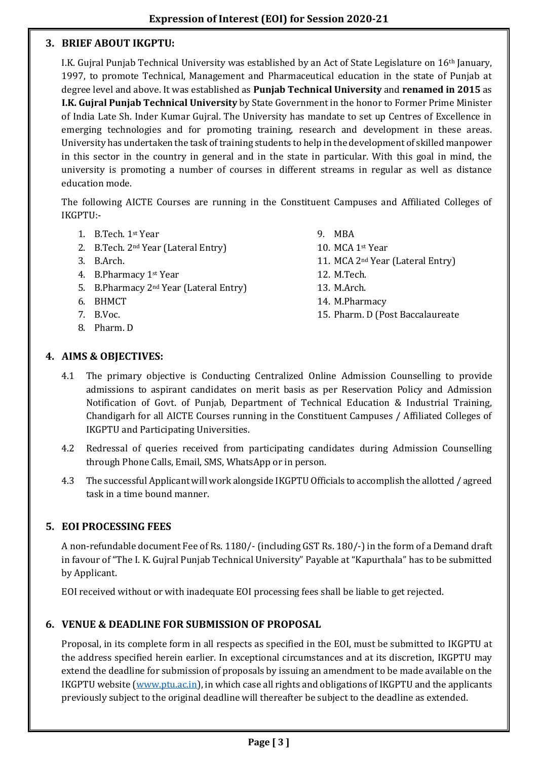### **3. BRIEF ABOUT IKGPTU:**

I.K. Gujral Punjab Technical University was established by an Act of State Legislature on 16th January, 1997, to promote Technical, Management and Pharmaceutical education in the state of Punjab at degree level and above. It was established as **Punjab Technical University** and **renamed in 2015** as **I.K. Gujral Punjab Technical University** by State Government in the honor to Former Prime Minister of India Late Sh. Inder Kumar Gujral. The University has mandate to set up Centres of Excellence in emerging technologies and for promoting training, research and development in these areas. University has undertaken the task of training students to help in the development of skilled manpower in this sector in the country in general and in the state in particular. With this goal in mind, the university is promoting a number of courses in different streams in regular as well as distance education mode.

The following AICTE Courses are running in the Constituent Campuses and Affiliated Colleges of IKGPTU:-

- 1. B.Tech. 1st Year
- 2. B.Tech. 2nd Year (Lateral Entry)
- 3. B.Arch.
- 4. B.Pharmacy 1st Year
- 5. B.Pharmacy 2nd Year (Lateral Entry)
- 6. BHMCT
- 7. B.Voc.
- 8. Pharm. D

9. MBA 10. MCA 1st Year 11. MCA 2nd Year (Lateral Entry) 12. M.Tech. 13. M.Arch. 14. M.Pharmacy 15. Pharm. D (Post Baccalaureate

#### **4. AIMS & OBJECTIVES:**

- 4.1 The primary objective is Conducting Centralized Online Admission Counselling to provide admissions to aspirant candidates on merit basis as per Reservation Policy and Admission Notification of Govt. of Punjab, Department of Technical Education & Industrial Training, Chandigarh for all AICTE Courses running in the Constituent Campuses / Affiliated Colleges of IKGPTU and Participating Universities.
- 4.2 Redressal of queries received from participating candidates during Admission Counselling through Phone Calls, Email, SMS, WhatsApp or in person.
- 4.3 The successful Applicant will work alongside IKGPTU Officials to accomplish the allotted / agreed task in a time bound manner.

#### **5. EOI PROCESSING FEES**

A non-refundable document Fee of Rs. 1180/- (including GST Rs. 180/-) in the form of a Demand draft in favour of "The I. K. Gujral Punjab Technical University" Payable at "Kapurthala" has to be submitted by Applicant.

EOI received without or with inadequate EOI processing fees shall be liable to get rejected.

#### **6. VENUE & DEADLINE FOR SUBMISSION OF PROPOSAL**

Proposal, in its complete form in all respects as specified in the EOI, must be submitted to IKGPTU at the address specified herein earlier. In exceptional circumstances and at its discretion, IKGPTU may extend the deadline for submission of proposals by issuing an amendment to be made available on the IKGPTU website [\(www.ptu.ac.in\)](http://www.ptu.ac.in/), in which case all rights and obligations of IKGPTU and the applicants previously subject to the original deadline will thereafter be subject to the deadline as extended.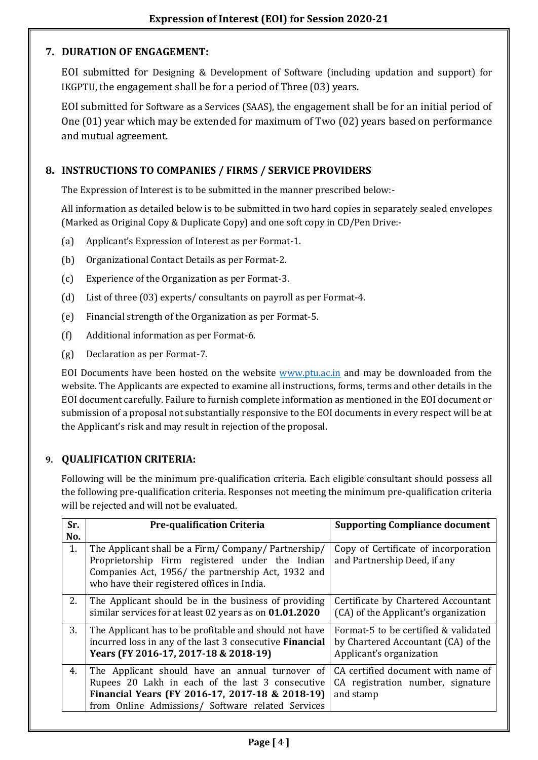# **7. DURATION OF ENGAGEMENT:**

EOI submitted for Designing & Development of Software (including updation and support) for IKGPTU, the engagement shall be for a period of Three (03) years.

EOI submitted for Software as a Services (SAAS), the engagement shall be for an initial period of One (01) year which may be extended for maximum of Two (02) years based on performance and mutual agreement.

# **8. INSTRUCTIONS TO COMPANIES / FIRMS / SERVICE PROVIDERS**

The Expression of Interest is to be submitted in the manner prescribed below:-

All information as detailed below is to be submitted in two hard copies in separately sealed envelopes (Marked as Original Copy & Duplicate Copy) and one soft copy in CD/Pen Drive:-

- (a) Applicant's Expression of Interest as per Format-1.
- (b) Organizational Contact Details as per Format-2.
- (c) Experience of the Organization as per Format-3.
- (d) List of three (03) experts/ consultants on payroll as per Format-4.
- (e) Financial strength of the Organization as per Format-5.
- (f) Additional information as per Format-6.
- (g) Declaration as per Format-7.

EOI Documents have been hosted on the website [www.ptu.ac.in](http://www.ptu.ac.in/) and may be downloaded from the website. The Applicants are expected to examine all instructions, forms, terms and other details in the EOI document carefully. Failure to furnish complete information as mentioned in the EOI document or submission of a proposal not substantially responsive to the EOI documents in every respect will be at the Applicant's risk and may result in rejection of the proposal.

# **9. QUALIFICATION CRITERIA:**

Following will be the minimum pre-qualification criteria. Each eligible consultant should possess all the following pre-qualification criteria. Responses not meeting the minimum pre-qualification criteria will be rejected and will not be evaluated.

| Sr.<br>No. | <b>Pre-qualification Criteria</b>                                                                                                                                                                           | <b>Supporting Compliance document</b>                                                                   |
|------------|-------------------------------------------------------------------------------------------------------------------------------------------------------------------------------------------------------------|---------------------------------------------------------------------------------------------------------|
| 1.         | The Applicant shall be a Firm/Company/Partnership/<br>Proprietorship Firm registered under the Indian<br>Companies Act, 1956/ the partnership Act, 1932 and<br>who have their registered offices in India.  | Copy of Certificate of incorporation<br>and Partnership Deed, if any                                    |
| 2.         | The Applicant should be in the business of providing<br>similar services for at least 02 years as on 01.01.2020                                                                                             | Certificate by Chartered Accountant<br>(CA) of the Applicant's organization                             |
| 3.         | The Applicant has to be profitable and should not have<br>incurred loss in any of the last 3 consecutive <b>Financial</b><br>Years (FY 2016-17, 2017-18 & 2018-19)                                          | Format-5 to be certified & validated<br>by Chartered Accountant (CA) of the<br>Applicant's organization |
| 4.         | The Applicant should have an annual turnover of<br>Rupees 20 Lakh in each of the last 3 consecutive<br>Financial Years (FY 2016-17, 2017-18 & 2018-19)<br>from Online Admissions/ Software related Services | CA certified document with name of<br>CA registration number, signature<br>and stamp                    |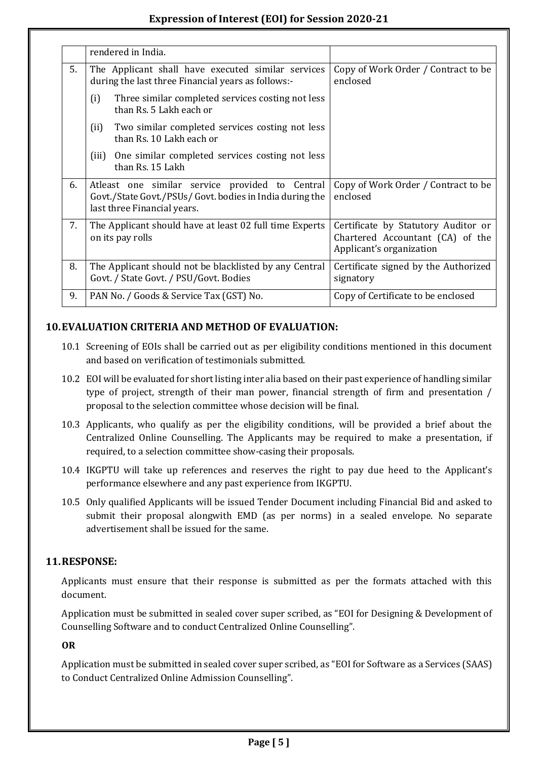|    | rendered in India.                                                                                                                         |                                                                                                     |
|----|--------------------------------------------------------------------------------------------------------------------------------------------|-----------------------------------------------------------------------------------------------------|
| 5. | The Applicant shall have executed similar services<br>during the last three Financial years as follows:-                                   | Copy of Work Order / Contract to be<br>enclosed                                                     |
|    | (i)<br>Three similar completed services costing not less<br>than Rs. 5 Lakh each or                                                        |                                                                                                     |
|    | Two similar completed services costing not less<br>(ii)<br>than Rs. 10 Lakh each or                                                        |                                                                                                     |
|    | One similar completed services costing not less<br>(iii)<br>than Rs. 15 Lakh                                                               |                                                                                                     |
| 6. | Atleast one similar service provided to Central<br>Govt./State Govt./PSUs/ Govt. bodies in India during the<br>last three Financial years. | Copy of Work Order / Contract to be<br>enclosed                                                     |
| 7. | The Applicant should have at least 02 full time Experts<br>on its pay rolls                                                                | Certificate by Statutory Auditor or<br>Chartered Accountant (CA) of the<br>Applicant's organization |
| 8. | The Applicant should not be blacklisted by any Central<br>Govt. / State Govt. / PSU/Govt. Bodies                                           | Certificate signed by the Authorized<br>signatory                                                   |
| 9. | PAN No. / Goods & Service Tax (GST) No.                                                                                                    | Copy of Certificate to be enclosed                                                                  |

# **10.EVALUATION CRITERIA AND METHOD OF EVALUATION:**

- 10.1 Screening of EOIs shall be carried out as per eligibility conditions mentioned in this document and based on verification of testimonials submitted.
- 10.2 EOI will be evaluated for short listing inter alia based on their past experience of handling similar type of project, strength of their man power, financial strength of firm and presentation / proposal to the selection committee whose decision will be final.
- 10.3 Applicants, who qualify as per the eligibility conditions, will be provided a brief about the Centralized Online Counselling. The Applicants may be required to make a presentation, if required, to a selection committee show-casing their proposals.
- 10.4 IKGPTU will take up references and reserves the right to pay due heed to the Applicant's performance elsewhere and any past experience from IKGPTU.
- 10.5 Only qualified Applicants will be issued Tender Document including Financial Bid and asked to submit their proposal alongwith EMD (as per norms) in a sealed envelope. No separate advertisement shall be issued for the same.

# **11.RESPONSE:**

Applicants must ensure that their response is submitted as per the formats attached with this document.

Application must be submitted in sealed cover super scribed, as "EOI for Designing & Development of Counselling Software and to conduct Centralized Online Counselling".

**OR**

Application must be submitted in sealed cover super scribed, as "EOI for Software as a Services (SAAS) to Conduct Centralized Online Admission Counselling".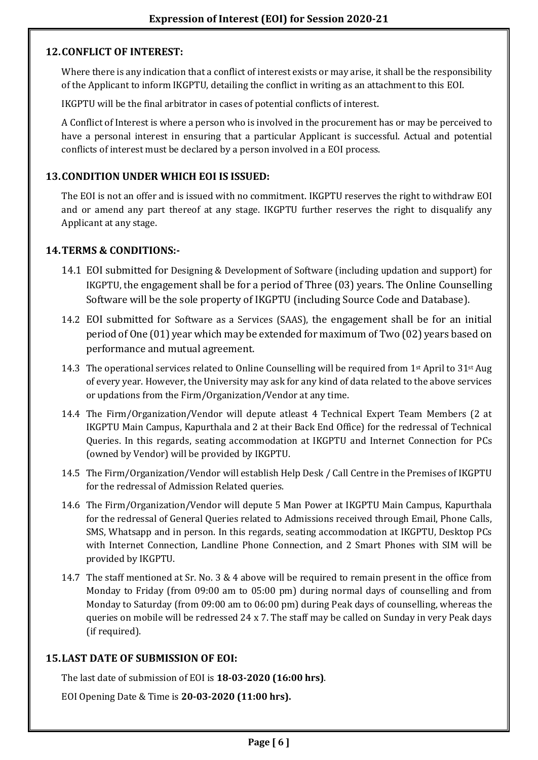## **12.CONFLICT OF INTEREST:**

Where there is any indication that a conflict of interest exists or may arise, it shall be the responsibility of the Applicant to inform IKGPTU, detailing the conflict in writing as an attachment to this EOI.

IKGPTU will be the final arbitrator in cases of potential conflicts of interest.

A Conflict of Interest is where a person who is involved in the procurement has or may be perceived to have a personal interest in ensuring that a particular Applicant is successful. Actual and potential conflicts of interest must be declared by a person involved in a EOI process.

# **13.CONDITION UNDER WHICH EOI IS ISSUED:**

The EOI is not an offer and is issued with no commitment. IKGPTU reserves the right to withdraw EOI and or amend any part thereof at any stage. IKGPTU further reserves the right to disqualify any Applicant at any stage.

# **14.TERMS & CONDITIONS:-**

- 14.1 EOI submitted for Designing & Development of Software (including updation and support) for IKGPTU, the engagement shall be for a period of Three (03) years. The Online Counselling Software will be the sole property of IKGPTU (including Source Code and Database).
- 14.2 EOI submitted for Software as a Services (SAAS), the engagement shall be for an initial period of One (01) year which may be extended for maximum of Two (02) years based on performance and mutual agreement.
- 14.3 The operational services related to Online Counselling will be required from 1<sup>st</sup> April to 31<sup>st</sup> Aug of every year. However, the University may ask for any kind of data related to the above services or updations from the Firm/Organization/Vendor at any time.
- 14.4 The Firm/Organization/Vendor will depute atleast 4 Technical Expert Team Members (2 at IKGPTU Main Campus, Kapurthala and 2 at their Back End Office) for the redressal of Technical Queries. In this regards, seating accommodation at IKGPTU and Internet Connection for PCs (owned by Vendor) will be provided by IKGPTU.
- 14.5 The Firm/Organization/Vendor will establish Help Desk / Call Centre in the Premises of IKGPTU for the redressal of Admission Related queries.
- 14.6 The Firm/Organization/Vendor will depute 5 Man Power at IKGPTU Main Campus, Kapurthala for the redressal of General Queries related to Admissions received through Email, Phone Calls, SMS, Whatsapp and in person. In this regards, seating accommodation at IKGPTU, Desktop PCs with Internet Connection, Landline Phone Connection, and 2 Smart Phones with SIM will be provided by IKGPTU.
- 14.7 The staff mentioned at Sr. No. 3 & 4 above will be required to remain present in the office from Monday to Friday (from 09:00 am to 05:00 pm) during normal days of counselling and from Monday to Saturday (from 09:00 am to 06:00 pm) during Peak days of counselling, whereas the queries on mobile will be redressed 24 x 7. The staff may be called on Sunday in very Peak days (if required).

# **15.LAST DATE OF SUBMISSION OF EOI:**

The last date of submission of EOI is **18-03-2020 (16:00 hrs)**.

EOI Opening Date & Time is **20-03-2020 (11:00 hrs).**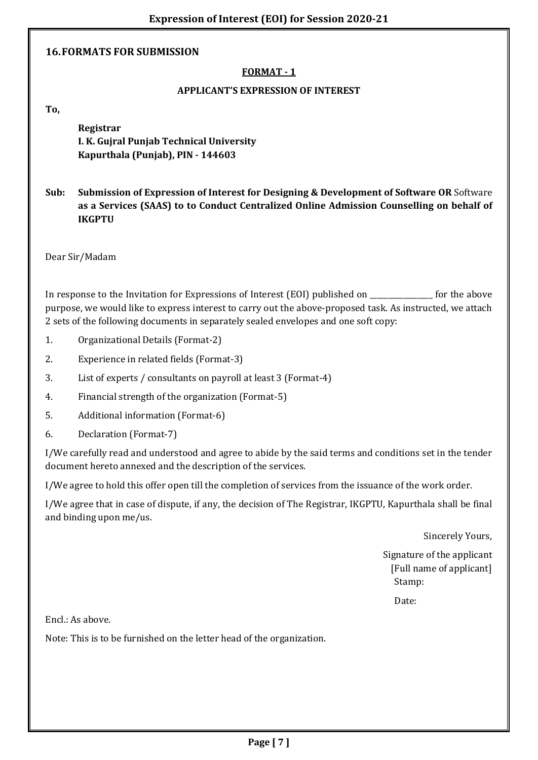#### **16.FORMATS FOR SUBMISSION**

## **FORMAT - 1**

#### **APPLICANT'S EXPRESSION OF INTEREST**

**To,** 

**Registrar I. K. Gujral Punjab Technical University Kapurthala (Punjab), PIN - 144603**

**Sub: Submission of Expression of Interest for Designing & Development of Software OR** Software **as a Services (SAAS) to to Conduct Centralized Online Admission Counselling on behalf of IKGPTU**

Dear Sir/Madam

In response to the Invitation for Expressions of Interest (EOI) published on \_\_\_\_\_\_\_\_\_\_\_\_\_\_\_\_\_ for the above purpose, we would like to express interest to carry out the above-proposed task. As instructed, we attach 2 sets of the following documents in separately sealed envelopes and one soft copy:

- 1. Organizational Details (Format-2)
- 2. Experience in related fields (Format-3)
- 3. List of experts / consultants on payroll at least 3 (Format-4)
- 4. Financial strength of the organization (Format-5)
- 5. Additional information (Format-6)
- 6. Declaration (Format-7)

I/We carefully read and understood and agree to abide by the said terms and conditions set in the tender document hereto annexed and the description of the services.

I/We agree to hold this offer open till the completion of services from the issuance of the work order.

I/We agree that in case of dispute, if any, the decision of The Registrar, IKGPTU, Kapurthala shall be final and binding upon me/us.

Sincerely Yours,

Signature of the applicant [Full name of applicant] Stamp:

Date:

Encl.: As above.

Note: This is to be furnished on the letter head of the organization.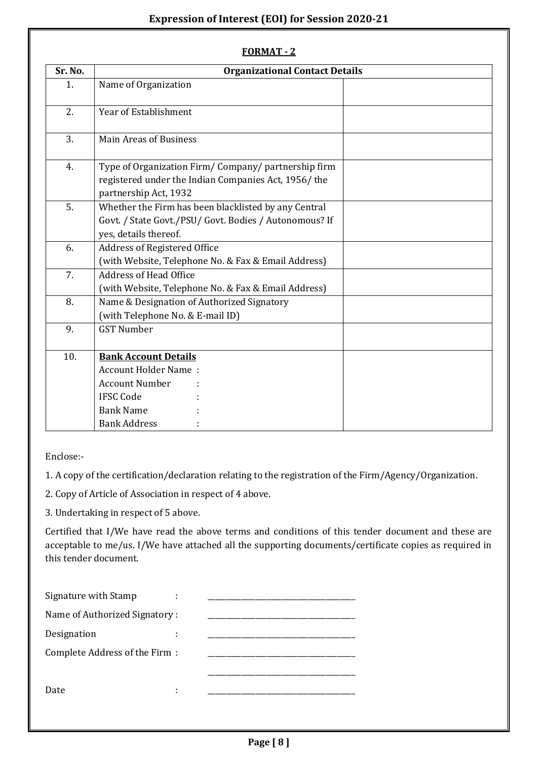|         | <b>FORMAT - 2</b>                                                                                                                                  |  |
|---------|----------------------------------------------------------------------------------------------------------------------------------------------------|--|
| Sr. No. | <b>Organizational Contact Details</b>                                                                                                              |  |
| 1.      | Name of Organization                                                                                                                               |  |
| 2.      | Year of Establishment                                                                                                                              |  |
| 3.      | <b>Main Areas of Business</b>                                                                                                                      |  |
| 4.      | Type of Organization Firm/Company/partnership firm<br>registered under the Indian Companies Act, 1956/the<br>partnership Act, 1932                 |  |
| 5.      | Whether the Firm has been blacklisted by any Central<br>Govt. / State Govt./PSU/ Govt. Bodies / Autonomous? If<br>yes, details thereof.            |  |
| 6.      | Address of Registered Office<br>(with Website, Telephone No. & Fax & Email Address)                                                                |  |
| 7.      | <b>Address of Head Office</b><br>(with Website, Telephone No. & Fax & Email Address)                                                               |  |
| 8.      | Name & Designation of Authorized Signatory<br>(with Telephone No. & E-mail ID)                                                                     |  |
| 9.      | <b>GST Number</b>                                                                                                                                  |  |
| 10.     | <b>Bank Account Details</b><br><b>Account Holder Name:</b><br><b>Account Number</b><br><b>IFSC Code</b><br><b>Bank Name</b><br><b>Bank Address</b> |  |

Enclose:-

1. A copy of the certification/declaration relating to the registration of the Firm/Agency/Organization.

2. Copy of Article of Association in respect of 4 above.

3. Undertaking in respect of 5 above.

Certified that I/We have read the above terms and conditions of this tender document and these are acceptable to me/us. I/We have attached all the supporting documents/certificate copies as required in this tender document.

| Signature with Stamp          |   |  |
|-------------------------------|---|--|
| Name of Authorized Signatory: |   |  |
| Designation                   |   |  |
| Complete Address of the Firm: |   |  |
|                               |   |  |
| Date                          | ٠ |  |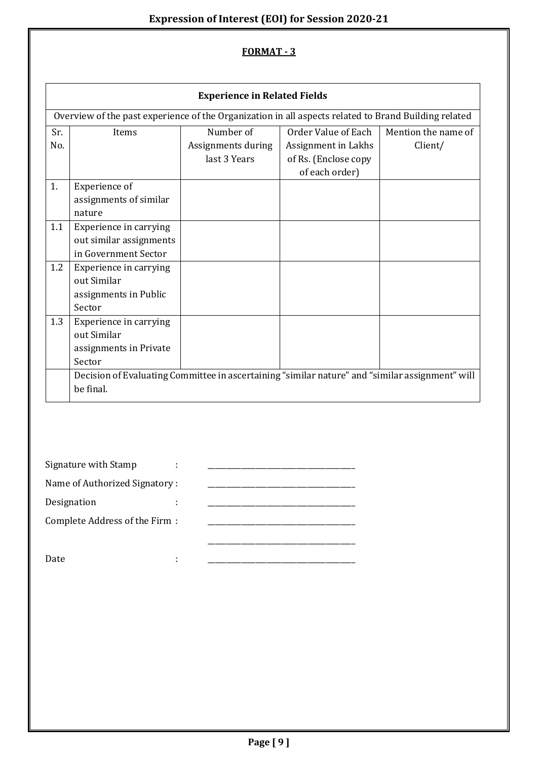|                   |                                                                                                              | <b>Experience in Related Fields</b>             |                                                                                      |                                |
|-------------------|--------------------------------------------------------------------------------------------------------------|-------------------------------------------------|--------------------------------------------------------------------------------------|--------------------------------|
|                   | Overview of the past experience of the Organization in all aspects related to Brand Building related         |                                                 |                                                                                      |                                |
| Sr.<br>No.        | Items                                                                                                        | Number of<br>Assignments during<br>last 3 Years | Order Value of Each<br>Assignment in Lakhs<br>of Rs. (Enclose copy<br>of each order) | Mention the name of<br>Client/ |
| 1.                | Experience of<br>assignments of similar<br>nature                                                            |                                                 |                                                                                      |                                |
| 1.1               | Experience in carrying<br>out similar assignments<br>in Government Sector                                    |                                                 |                                                                                      |                                |
| 1.2               | Experience in carrying<br>out Similar<br>assignments in Public<br>Sector                                     |                                                 |                                                                                      |                                |
| 1.3               | Experience in carrying<br>out Similar<br>assignments in Private<br>Sector                                    |                                                 |                                                                                      |                                |
|                   | Decision of Evaluating Committee in ascertaining "similar nature" and "similar assignment" will<br>be final. |                                                 |                                                                                      |                                |
|                   |                                                                                                              |                                                 |                                                                                      |                                |
|                   | Signature with Stamp                                                                                         |                                                 |                                                                                      |                                |
|                   | Name of Authorized Signatory:                                                                                |                                                 |                                                                                      |                                |
| Designation<br>Ĩ, |                                                                                                              |                                                 |                                                                                      |                                |
|                   | Complete Address of the Firm :                                                                               |                                                 |                                                                                      |                                |
| Date              | ÷                                                                                                            |                                                 | <u> 1989 - Johann John Stone, mars eta biztanleria (</u>                             |                                |
|                   |                                                                                                              |                                                 |                                                                                      |                                |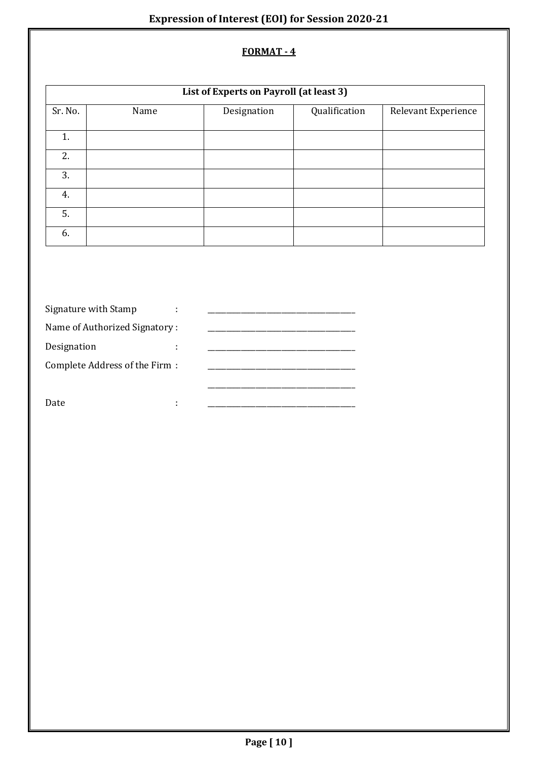| List of Experts on Payroll (at least 3) |      |             |               |                     |
|-----------------------------------------|------|-------------|---------------|---------------------|
| Sr. No.                                 | Name | Designation | Qualification | Relevant Experience |
| 1.                                      |      |             |               |                     |
| 2.                                      |      |             |               |                     |
| 3.                                      |      |             |               |                     |
| 4.                                      |      |             |               |                     |
| 5.                                      |      |             |               |                     |
| 6.                                      |      |             |               |                     |

| Signature with Stamp          |  |
|-------------------------------|--|
| Name of Authorized Signatory: |  |
| Designation                   |  |
| Complete Address of the Firm: |  |
|                               |  |
| Date.                         |  |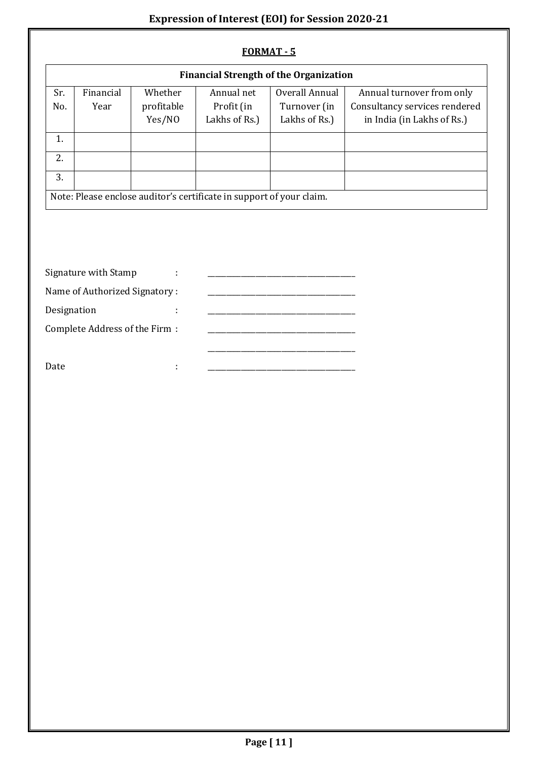| FORMAT - 5                                    |                                |                                 |                                                                      |                                                 |                                                                                          |  |
|-----------------------------------------------|--------------------------------|---------------------------------|----------------------------------------------------------------------|-------------------------------------------------|------------------------------------------------------------------------------------------|--|
| <b>Financial Strength of the Organization</b> |                                |                                 |                                                                      |                                                 |                                                                                          |  |
| Sr.<br>No.                                    | Financial<br>Year              | Whether<br>profitable<br>Yes/NO | Annual net<br>Profit (in<br>Lakhs of Rs.)                            | Overall Annual<br>Turnover (in<br>Lakhs of Rs.) | Annual turnover from only<br>Consultancy services rendered<br>in India (in Lakhs of Rs.) |  |
| 1.                                            |                                |                                 |                                                                      |                                                 |                                                                                          |  |
| 2.                                            |                                |                                 |                                                                      |                                                 |                                                                                          |  |
| 3.                                            |                                |                                 |                                                                      |                                                 |                                                                                          |  |
|                                               |                                |                                 | Note: Please enclose auditor's certificate in support of your claim. |                                                 |                                                                                          |  |
|                                               |                                |                                 |                                                                      |                                                 |                                                                                          |  |
|                                               | Signature with Stamp           |                                 |                                                                      |                                                 |                                                                                          |  |
|                                               | Name of Authorized Signatory:  |                                 |                                                                      |                                                 |                                                                                          |  |
| Designation                                   |                                |                                 |                                                                      |                                                 |                                                                                          |  |
|                                               | Complete Address of the Firm : |                                 |                                                                      |                                                 |                                                                                          |  |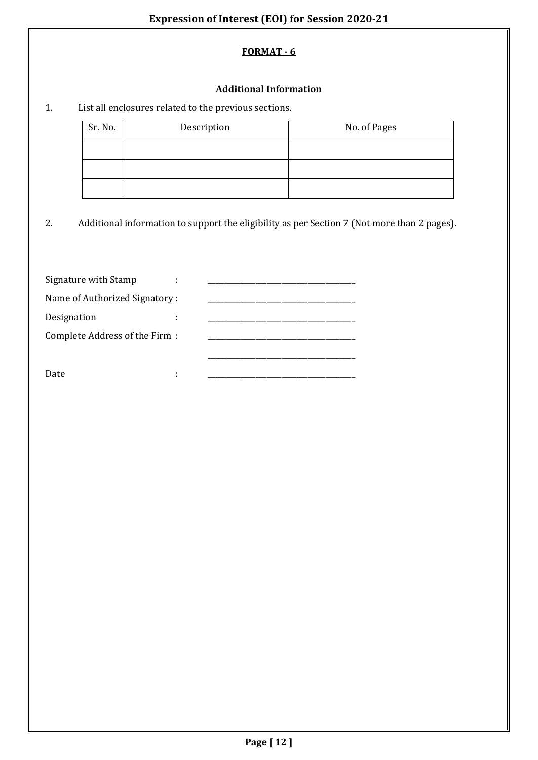### **Additional Information**

# 1. List all enclosures related to the previous sections.

| Sr. No. | Description | No. of Pages |
|---------|-------------|--------------|
|         |             |              |
|         |             |              |
|         |             |              |

2. Additional information to support the eligibility as per Section 7 (Not more than 2 pages).

| Signature with Stamp          |  |
|-------------------------------|--|
| Name of Authorized Signatory: |  |
| Designation                   |  |
| Complete Address of the Firm: |  |
|                               |  |
| Date                          |  |